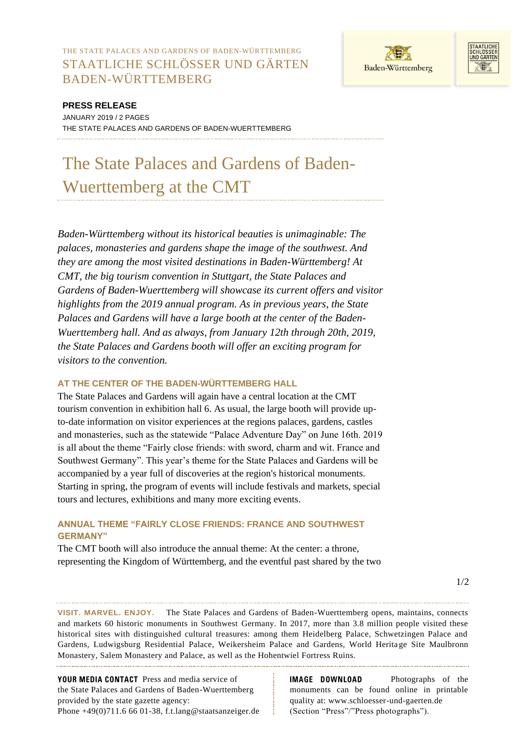THE STATE PALACES AND GARDENS OF BADEN-WÜRTTEMBERG STAATLICHE SCHLÖSSER UND GÄRTEN BADEN-WÜRTTEMBERG





## **PRESS RELEASE**

JANUARY 2019 / 2 PAGES THE STATE PALACES AND GARDENS OF BADEN-WUERTTEMBERG

# The State Palaces and Gardens of Baden-Wuerttemberg at the CMT

*Baden-Württemberg without its historical beauties is unimaginable: The palaces, monasteries and gardens shape the image of the southwest. And they are among the most visited destinations in Baden-Württemberg! At CMT, the big tourism convention in Stuttgart, the State Palaces and Gardens of Baden-Wuerttemberg will showcase its current offers and visitor highlights from the 2019 annual program. As in previous years, the State Palaces and Gardens will have a large booth at the center of the Baden-Wuerttemberg hall. And as always, from January 12th through 20th, 2019, the State Palaces and Gardens booth will offer an exciting program for visitors to the convention.*

## **AT THE CENTER OF THE BADEN-WÜRTTEMBERG HALL**

The State Palaces and Gardens will again have a central location at the CMT tourism convention in exhibition hall 6. As usual, the large booth will provide upto-date information on visitor experiences at the regions palaces, gardens, castles and monasteries, such as the statewide "Palace Adventure Day" on June 16th. 2019 is all about the theme "Fairly close friends: with sword, charm and wit. France and Southwest Germany". This year's theme for the State Palaces and Gardens will be accompanied by a year full of discoveries at the region's historical monuments. Starting in spring, the program of events will include festivals and markets, special tours and lectures, exhibitions and many more exciting events.

## **ANNUAL THEME "FAIRLY CLOSE FRIENDS: FRANCE AND SOUTHWEST GERMANY"**

The CMT booth will also introduce the annual theme: At the center: a throne, representing the Kingdom of Württemberg, and the eventful past shared by the two

**VISIT. MARVEL. ENJOY.** The State Palaces and Gardens of Baden-Wuerttemberg opens, maintains, connects and markets 60 historic monuments in Southwest Germany. In 2017, more than 3.8 million people visited these historical sites with distinguished cultural treasures: among them Heidelberg Palace, Schwetzingen Palace and Gardens, Ludwigsburg Residential Palace, Weikersheim Palace and Gardens, World Herita ge Site Maulbronn Monastery, Salem Monastery and Palace, as well as the Hohentwiel Fortress Ruins.

YOUR MEDIA CONTACT Press and media service of the State Palaces and Gardens of Baden-Wuerttemberg provided by the state gazette agency: Phone +49(0)711.6 66 01-38, f.t.lang@staatsanzeiger.de **IMAGE DOWNLOAD** Photographs of the monuments can be found online in printable quality at: www.schloesser-und-gaerten.de (Section "Press"/"Press photographs").